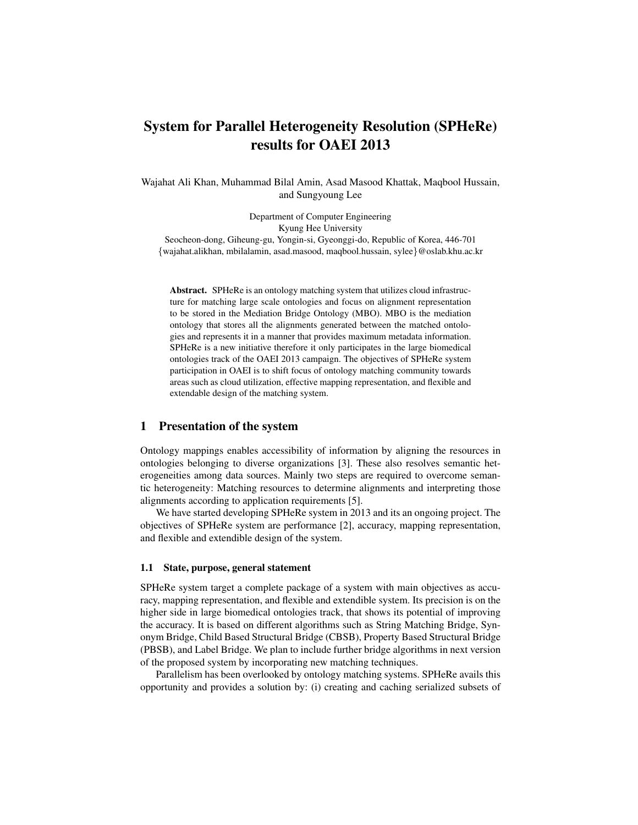# System for Parallel Heterogeneity Resolution (SPHeRe) results for OAEI 2013

Wajahat Ali Khan, Muhammad Bilal Amin, Asad Masood Khattak, Maqbool Hussain, and Sungyoung Lee

Department of Computer Engineering Kyung Hee University Seocheon-dong, Giheung-gu, Yongin-si, Gyeonggi-do, Republic of Korea, 446-701 {wajahat.alikhan, mbilalamin, asad.masood, maqbool.hussain, sylee}@oslab.khu.ac.kr

Abstract. SPHeRe is an ontology matching system that utilizes cloud infrastructure for matching large scale ontologies and focus on alignment representation to be stored in the Mediation Bridge Ontology (MBO). MBO is the mediation ontology that stores all the alignments generated between the matched ontologies and represents it in a manner that provides maximum metadata information. SPHeRe is a new initiative therefore it only participates in the large biomedical ontologies track of the OAEI 2013 campaign. The objectives of SPHeRe system participation in OAEI is to shift focus of ontology matching community towards areas such as cloud utilization, effective mapping representation, and flexible and extendable design of the matching system.

# 1 Presentation of the system

Ontology mappings enables accessibility of information by aligning the resources in ontologies belonging to diverse organizations [3]. These also resolves semantic heterogeneities among data sources. Mainly two steps are required to overcome semantic heterogeneity: Matching resources to determine alignments and interpreting those alignments according to application requirements [5].

We have started developing SPHeRe system in 2013 and its an ongoing project. The objectives of SPHeRe system are performance [2], accuracy, mapping representation, and flexible and extendible design of the system.

## 1.1 State, purpose, general statement

SPHeRe system target a complete package of a system with main objectives as accuracy, mapping representation, and flexible and extendible system. Its precision is on the higher side in large biomedical ontologies track, that shows its potential of improving the accuracy. It is based on different algorithms such as String Matching Bridge, Synonym Bridge, Child Based Structural Bridge (CBSB), Property Based Structural Bridge (PBSB), and Label Bridge. We plan to include further bridge algorithms in next version of the proposed system by incorporating new matching techniques.

Parallelism has been overlooked by ontology matching systems. SPHeRe avails this opportunity and provides a solution by: (i) creating and caching serialized subsets of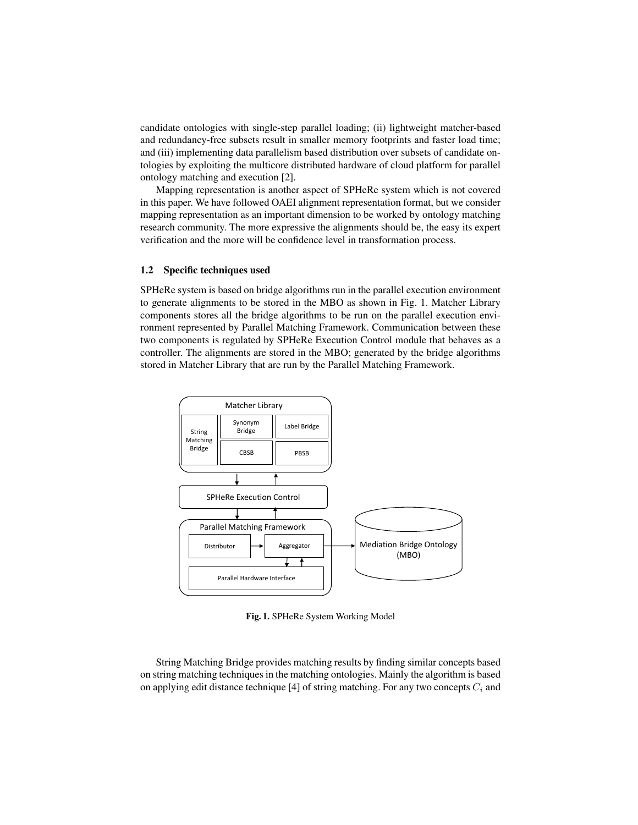candidate ontologies with single-step parallel loading; (ii) lightweight matcher-based and redundancy-free subsets result in smaller memory footprints and faster load time; and (iii) implementing data parallelism based distribution over subsets of candidate ontologies by exploiting the multicore distributed hardware of cloud platform for parallel ontology matching and execution [2].

Mapping representation is another aspect of SPHeRe system which is not covered in this paper. We have followed OAEI alignment representation format, but we consider mapping representation as an important dimension to be worked by ontology matching research community. The more expressive the alignments should be, the easy its expert verification and the more will be confidence level in transformation process.

#### 1.2 Specific techniques used

SPHeRe system is based on bridge algorithms run in the parallel execution environment to generate alignments to be stored in the MBO as shown in Fig. 1. Matcher Library components stores all the bridge algorithms to be run on the parallel execution environment represented by Parallel Matching Framework. Communication between these two components is regulated by SPHeRe Execution Control module that behaves as a controller. The alignments are stored in the MBO; generated by the bridge algorithms stored in Matcher Library that are run by the Parallel Matching Framework.



Fig. 1. SPHeRe System Working Model

String Matching Bridge provides matching results by finding similar concepts based on string matching techniques in the matching ontologies. Mainly the algorithm is based on applying edit distance technique [4] of string matching. For any two concepts  $C_i$  and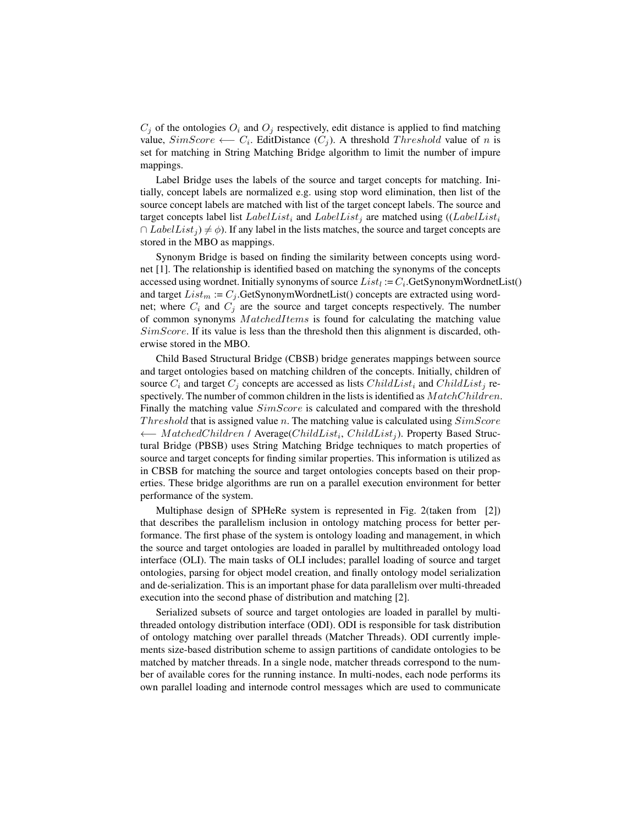$C_i$  of the ontologies  $O_i$  and  $O_j$  respectively, edit distance is applied to find matching value,  $SimScore \longleftarrow C_i$ . EditDistance  $(C_j)$ . A threshold *Threshold* value of *n* is set for matching in String Matching Bridge algorithm to limit the number of impure mappings.

Label Bridge uses the labels of the source and target concepts for matching. Initially, concept labels are normalized e.g. using stop word elimination, then list of the source concept labels are matched with list of the target concept labels. The source and target concepts label list  $LabelList_i$  and  $LabelList_i$  are matched using  $((LabelList_i$  $\cap$  *LabelList<sub>i</sub>*)  $\neq \phi$ ). If any label in the lists matches, the source and target concepts are stored in the MBO as mappings.

Synonym Bridge is based on finding the similarity between concepts using wordnet [1]. The relationship is identified based on matching the synonyms of the concepts accessed using wordnet. Initially synonyms of source  $List_l := C_i$ . GetSynonymWordnetList() and target  $List_m := C_i$ . GetSynonymWordnetList() concepts are extracted using wordnet; where  $C_i$  and  $C_j$  are the source and target concepts respectively. The number of common synonyms  $MatchedItems$  is found for calculating the matching value  $SimScore$ . If its value is less than the threshold then this alignment is discarded, otherwise stored in the MBO.

Child Based Structural Bridge (CBSB) bridge generates mappings between source and target ontologies based on matching children of the concepts. Initially, children of source  $C_i$  and target  $C_j$  concepts are accessed as lists ChildList<sub>i</sub> and ChildList<sub>i</sub> respectively. The number of common children in the lists is identified as  $MatchChildren$ . Finally the matching value  $SimScore$  is calculated and compared with the threshold Threshold that is assigned value n. The matching value is calculated using  $SimScore$ ← MatchedChildren / Average(ChildList<sub>i</sub>, ChildList<sub>j</sub>). Property Based Structural Bridge (PBSB) uses String Matching Bridge techniques to match properties of source and target concepts for finding similar properties. This information is utilized as in CBSB for matching the source and target ontologies concepts based on their properties. These bridge algorithms are run on a parallel execution environment for better performance of the system.

Multiphase design of SPHeRe system is represented in Fig. 2(taken from [2]) that describes the parallelism inclusion in ontology matching process for better performance. The first phase of the system is ontology loading and management, in which the source and target ontologies are loaded in parallel by multithreaded ontology load interface (OLI). The main tasks of OLI includes; parallel loading of source and target ontologies, parsing for object model creation, and finally ontology model serialization and de-serialization. This is an important phase for data parallelism over multi-threaded execution into the second phase of distribution and matching [2].

Serialized subsets of source and target ontologies are loaded in parallel by multithreaded ontology distribution interface (ODI). ODI is responsible for task distribution of ontology matching over parallel threads (Matcher Threads). ODI currently implements size-based distribution scheme to assign partitions of candidate ontologies to be matched by matcher threads. In a single node, matcher threads correspond to the number of available cores for the running instance. In multi-nodes, each node performs its own parallel loading and internode control messages which are used to communicate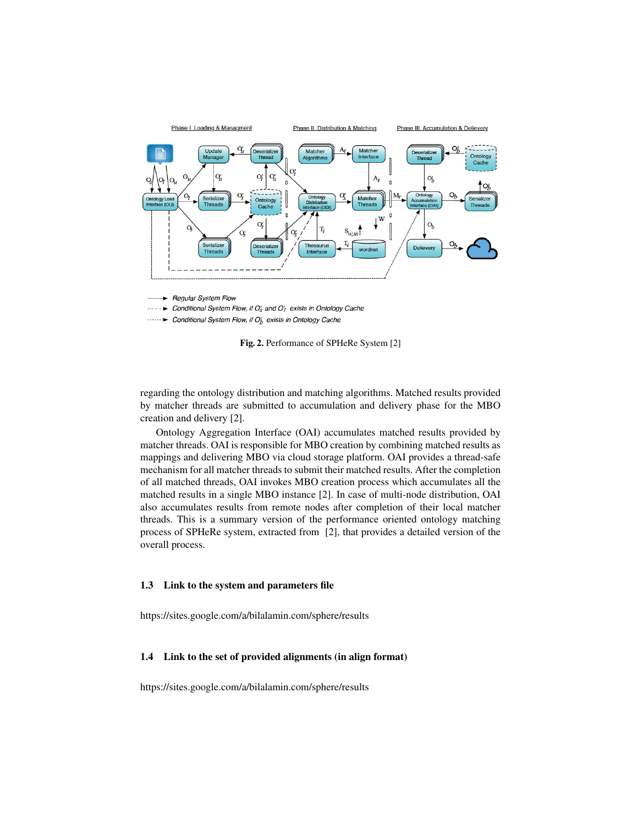

 $---\triangleright$  Conditional System Flow, if  $O'_s$  and  $O'_t$  exists in Ontology Cache

 $\cdots$  > Conditional System Flow, if  $O_h^t$  exists in Ontology Cache

Fig. 2. Performance of SPHeRe System [2]

regarding the ontology distribution and matching algorithms. Matched results provided by matcher threads are submitted to accumulation and delivery phase for the MBO creation and delivery [2].

Ontology Aggregation Interface (OAI) accumulates matched results provided by matcher threads. OAI is responsible for MBO creation by combining matched results as mappings and delivering MBO via cloud storage platform. OAI provides a thread-safe mechanism for all matcher threads to submit their matched results. After the completion of all matched threads, OAI invokes MBO creation process which accumulates all the matched results in a single MBO instance [2]. In case of multi-node distribution, OAI also accumulates results from remote nodes after completion of their local matcher threads. This is a summary version of the performance oriented ontology matching process of SPHeRe system, extracted from [2], that provides a detailed version of the overall process.

## 1.3 Link to the system and parameters file

https://sites.google.com/a/bilalamin.com/sphere/results

#### 1.4 Link to the set of provided alignments (in align format)

https://sites.google.com/a/bilalamin.com/sphere/results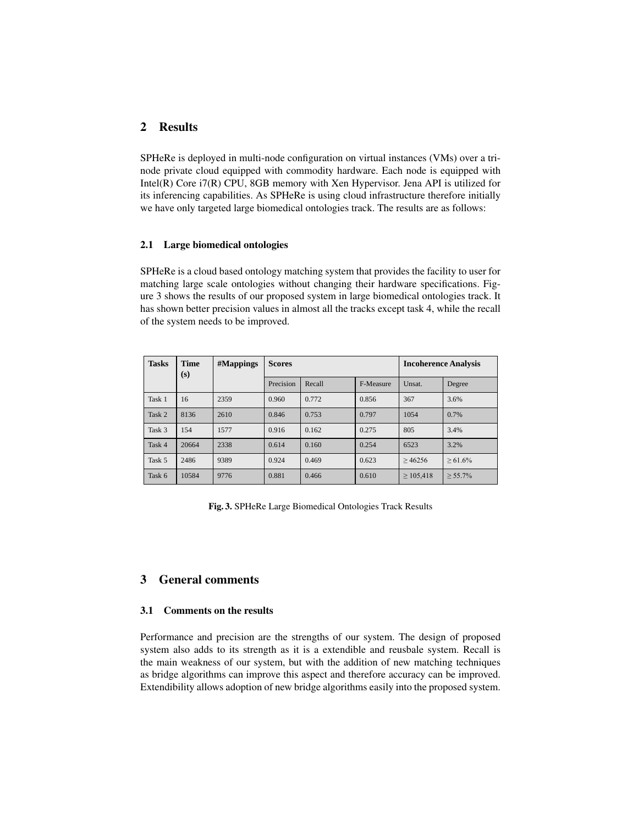# 2 Results

SPHeRe is deployed in multi-node configuration on virtual instances (VMs) over a trinode private cloud equipped with commodity hardware. Each node is equipped with Intel(R) Core i7(R) CPU, 8GB memory with Xen Hypervisor. Jena API is utilized for its inferencing capabilities. As SPHeRe is using cloud infrastructure therefore initially we have only targeted large biomedical ontologies track. The results are as follows:

## 2.1 Large biomedical ontologies

SPHeRe is a cloud based ontology matching system that provides the facility to user for matching large scale ontologies without changing their hardware specifications. Figure 3 shows the results of our proposed system in large biomedical ontologies track. It has shown better precision values in almost all the tracks except task 4, while the recall of the system needs to be improved.

| <b>Tasks</b> | <b>Time</b><br>(s) | #Mappings | <b>Scores</b> |        |           | <b>Incoherence Analysis</b> |            |
|--------------|--------------------|-----------|---------------|--------|-----------|-----------------------------|------------|
|              |                    |           | Precision     | Recall | F-Measure | Unsat.                      | Degree     |
| Task 1       | 16                 | 2359      | 0.960         | 0.772  | 0.856     | 367                         | 3.6%       |
| Task 2       | 8136               | 2610      | 0.846         | 0.753  | 0.797     | 1054                        | 0.7%       |
| Task 3       | 154                | 1577      | 0.916         | 0.162  | 0.275     | 805                         | 3.4%       |
| Task 4       | 20664              | 2338      | 0.614         | 0.160  | 0.254     | 6523                        | 3.2%       |
| Task 5       | 2486               | 9389      | 0.924         | 0.469  | 0.623     | >46256                      | $> 61.6\%$ |
| Task 6       | 10584              | 9776      | 0.881         | 0.466  | 0.610     | $\geq 105,418$              | $> 55.7\%$ |

Fig. 3. SPHeRe Large Biomedical Ontologies Track Results

# 3 General comments

## 3.1 Comments on the results

Performance and precision are the strengths of our system. The design of proposed system also adds to its strength as it is a extendible and reusbale system. Recall is the main weakness of our system, but with the addition of new matching techniques as bridge algorithms can improve this aspect and therefore accuracy can be improved. Extendibility allows adoption of new bridge algorithms easily into the proposed system.